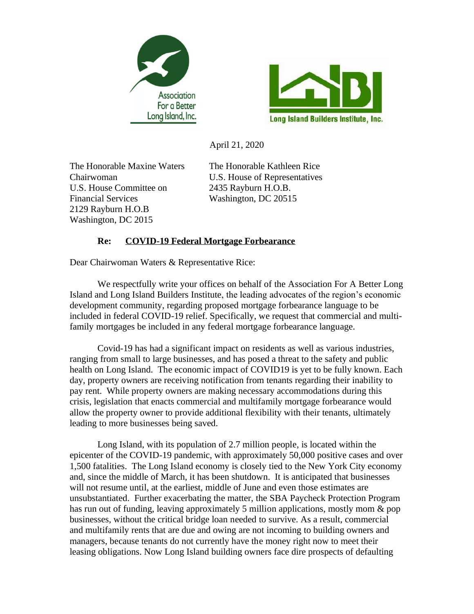



April 21, 2020

The Honorable Maxine Waters The Honorable Kathleen Rice U.S. House Committee on 2435 Rayburn H.O.B. Financial Services Washington, DC 20515 2129 Rayburn H.O.B Washington, DC 2015

Chairwoman U.S. House of Representatives

## **Re: COVID-19 Federal Mortgage Forbearance**

Dear Chairwoman Waters & Representative Rice:

We respectfully write your offices on behalf of the Association For A Better Long Island and Long Island Builders Institute, the leading advocates of the region's economic development community, regarding proposed mortgage forbearance language to be included in federal COVID-19 relief. Specifically, we request that commercial and multifamily mortgages be included in any federal mortgage forbearance language.

Covid-19 has had a significant impact on residents as well as various industries, ranging from small to large businesses, and has posed a threat to the safety and public health on Long Island. The economic impact of COVID19 is yet to be fully known. Each day, property owners are receiving notification from tenants regarding their inability to pay rent. While property owners are making necessary accommodations during this crisis, legislation that enacts commercial and multifamily mortgage forbearance would allow the property owner to provide additional flexibility with their tenants, ultimately leading to more businesses being saved.

Long Island, with its population of 2.7 million people, is located within the epicenter of the COVID-19 pandemic, with approximately 50,000 positive cases and over 1,500 fatalities. The Long Island economy is closely tied to the New York City economy and, since the middle of March, it has been shutdown. It is anticipated that businesses will not resume until, at the earliest, middle of June and even those estimates are unsubstantiated. Further exacerbating the matter, the SBA Paycheck Protection Program has run out of funding, leaving approximately 5 million applications, mostly mom & pop businesses, without the critical bridge loan needed to survive. As a result, commercial and multifamily rents that are due and owing are not incoming to building owners and managers, because tenants do not currently have the money right now to meet their leasing obligations. Now Long Island building owners face dire prospects of defaulting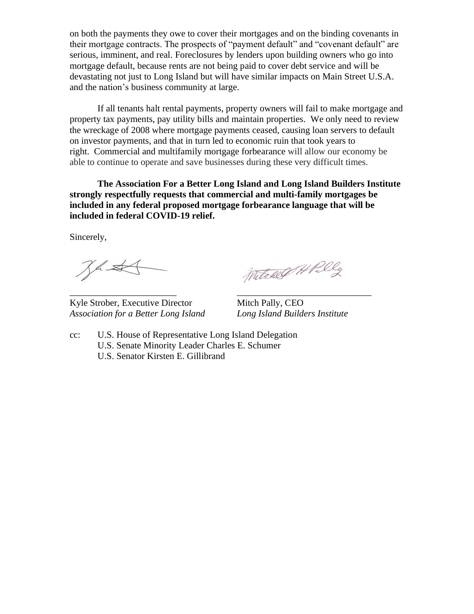on both the payments they owe to cover their mortgages and on the binding covenants in their mortgage contracts. The prospects of "payment default" and "covenant default" are serious, imminent, and real. Foreclosures by lenders upon building owners who go into mortgage default, because rents are not being paid to cover debt service and will be devastating not just to Long Island but will have similar impacts on Main Street U.S.A. and the nation's business community at large.

If all tenants halt rental payments, property owners will fail to make mortgage and property tax payments, pay utility bills and maintain properties. We only need to review the wreckage of 2008 where mortgage payments ceased, causing loan servers to default on investor payments, and that in turn led to economic ruin that took years to right. Commercial and multifamily mortgage forbearance will allow our economy be able to continue to operate and save businesses during these very difficult times.

**The Association For a Better Long Island and Long Island Builders Institute strongly respectfully requests that commercial and multi-family mortgages be included in any federal proposed mortgage forbearance language that will be included in federal COVID-19 relief.**

Sincerely,

Jhst

\_\_\_\_\_\_\_\_\_\_\_\_\_\_\_\_\_\_\_\_\_\_\_ \_\_\_\_\_\_\_\_\_\_\_\_\_\_\_\_\_\_\_\_\_\_\_\_\_\_\_\_\_ Kyle Strober, Executive Director Mitch Pally, CEO *Association for a Better Long Island Long Island Builders Institute*

Witchell Alal

cc: U.S. House of Representative Long Island Delegation U.S. Senate Minority Leader Charles E. Schumer U.S. Senator Kirsten E. Gillibrand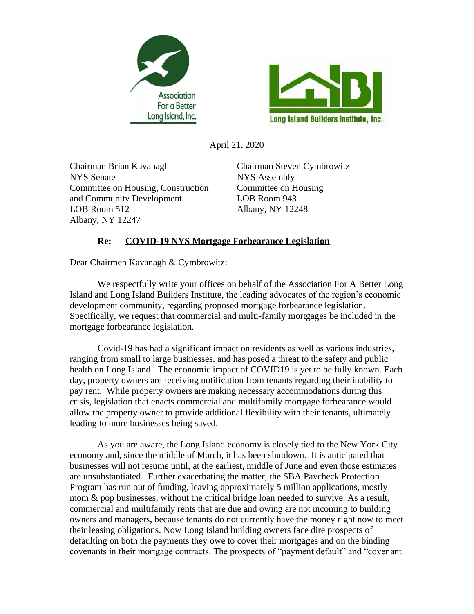



April 21, 2020

Chairman Brian Kavanagh Chairman Steven Cymbrowitz NYS Senate NYS Assembly Committee on Housing, Construction Committee on Housing and Community Development LOB Room 943 LOB Room 512 Albany, NY 12248 Albany, NY 12247

## **Re: COVID-19 NYS Mortgage Forbearance Legislation**

Dear Chairmen Kavanagh & Cymbrowitz:

We respectfully write your offices on behalf of the Association For A Better Long Island and Long Island Builders Institute, the leading advocates of the region's economic development community, regarding proposed mortgage forbearance legislation. Specifically, we request that commercial and multi-family mortgages be included in the mortgage forbearance legislation.

Covid-19 has had a significant impact on residents as well as various industries, ranging from small to large businesses, and has posed a threat to the safety and public health on Long Island. The economic impact of COVID19 is yet to be fully known. Each day, property owners are receiving notification from tenants regarding their inability to pay rent. While property owners are making necessary accommodations during this crisis, legislation that enacts commercial and multifamily mortgage forbearance would allow the property owner to provide additional flexibility with their tenants, ultimately leading to more businesses being saved.

As you are aware, the Long Island economy is closely tied to the New York City economy and, since the middle of March, it has been shutdown. It is anticipated that businesses will not resume until, at the earliest, middle of June and even those estimates are unsubstantiated. Further exacerbating the matter, the SBA Paycheck Protection Program has run out of funding, leaving approximately 5 million applications, mostly mom  $\&$  pop businesses, without the critical bridge loan needed to survive. As a result, commercial and multifamily rents that are due and owing are not incoming to building owners and managers, because tenants do not currently have the money right now to meet their leasing obligations. Now Long Island building owners face dire prospects of defaulting on both the payments they owe to cover their mortgages and on the binding covenants in their mortgage contracts. The prospects of "payment default" and "covenant